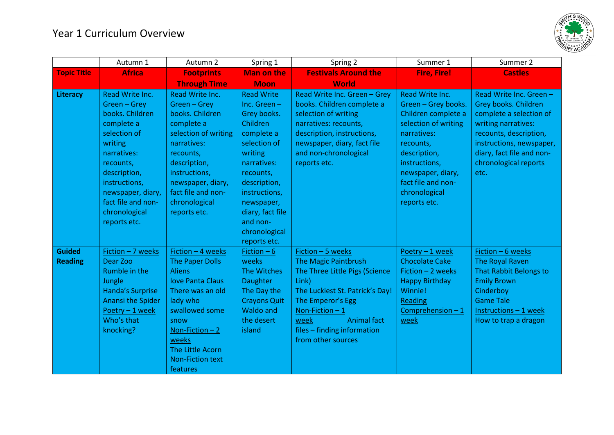

|                                 | Autumn 1                                                                                                                                                                                                                             | Autumn 2                                                                                                                                                                                                                           | Spring 1                                                                                                                                                                                                                                            | Spring 2                                                                                                                                                                                                                                            | Summer 1                                                                                                                                                                                                                       | Summer 2                                                                                                                                                                                                              |
|---------------------------------|--------------------------------------------------------------------------------------------------------------------------------------------------------------------------------------------------------------------------------------|------------------------------------------------------------------------------------------------------------------------------------------------------------------------------------------------------------------------------------|-----------------------------------------------------------------------------------------------------------------------------------------------------------------------------------------------------------------------------------------------------|-----------------------------------------------------------------------------------------------------------------------------------------------------------------------------------------------------------------------------------------------------|--------------------------------------------------------------------------------------------------------------------------------------------------------------------------------------------------------------------------------|-----------------------------------------------------------------------------------------------------------------------------------------------------------------------------------------------------------------------|
| <b>Topic Title</b>              | <b>Africa</b>                                                                                                                                                                                                                        | <b>Footprints</b>                                                                                                                                                                                                                  | <b>Man on the</b>                                                                                                                                                                                                                                   | <b>Festivals Around the</b>                                                                                                                                                                                                                         | <b>Fire, Fire!</b>                                                                                                                                                                                                             | <b>Castles</b>                                                                                                                                                                                                        |
|                                 |                                                                                                                                                                                                                                      | <b>Through Time</b>                                                                                                                                                                                                                | <b>Moon</b>                                                                                                                                                                                                                                         | <b>World</b>                                                                                                                                                                                                                                        |                                                                                                                                                                                                                                |                                                                                                                                                                                                                       |
| Literacy                        | Read Write Inc.<br>Green - Grey<br>books. Children<br>complete a<br>selection of<br>writing<br>narratives:<br>recounts,<br>description,<br>instructions,<br>newspaper, diary,<br>fact file and non-<br>chronological<br>reports etc. | Read Write Inc.<br>Green - Grey<br>books. Children<br>complete a<br>selection of writing<br>narratives:<br>recounts,<br>description,<br>instructions,<br>newspaper, diary,<br>fact file and non-<br>chronological<br>reports etc.  | <b>Read Write</b><br>Inc. Green $-$<br>Grey books.<br>Children<br>complete a<br>selection of<br>writing<br>narratives:<br>recounts,<br>description,<br>instructions,<br>newspaper,<br>diary, fact file<br>and non-<br>chronological<br>reports etc. | Read Write Inc. Green - Grey<br>books. Children complete a<br>selection of writing<br>narratives: recounts,<br>description, instructions,<br>newspaper, diary, fact file<br>and non-chronological<br>reports etc.                                   | Read Write Inc.<br>Green - Grey books.<br>Children complete a<br>selection of writing<br>narratives:<br>recounts,<br>description,<br>instructions,<br>newspaper, diary,<br>fact file and non-<br>chronological<br>reports etc. | Read Write Inc. Green -<br>Grey books. Children<br>complete a selection of<br>writing narratives:<br>recounts, description,<br>instructions, newspaper,<br>diary, fact file and non-<br>chronological reports<br>etc. |
| <b>Guided</b><br><b>Reading</b> | Fiction - 7 weeks<br>Dear Zoo<br>Rumble in the<br>Jungle<br>Handa's Surprise<br><b>Anansi the Spider</b><br>Poetry - 1 week<br>Who's that<br>knocking?                                                                               | Fiction - 4 weeks<br>The Paper Dolls<br><b>Aliens</b><br><b>love Panta Claus</b><br>There was an old<br>lady who<br>swallowed some<br>snow<br>Non-Fiction $-2$<br>weeks<br>The Little Acorn<br><b>Non-Fiction text</b><br>features | Fiction $-6$<br>weeks<br>The Witches<br>Daughter<br>The Day the<br><b>Crayons Quit</b><br><b>Waldo and</b><br>the desert<br>island                                                                                                                  | Fiction - 5 weeks<br>The Magic Paintbrush<br>The Three Little Pigs (Science<br>Link)<br>The Luckiest St. Patrick's Day!<br>The Emperor's Egg<br>Non-Fiction $-1$<br><b>Animal fact</b><br>week<br>files - finding information<br>from other sources | Poetry - 1 week<br><b>Chocolate Cake</b><br>Fiction - 2 weeks<br><b>Happy Birthday</b><br>Winnie!<br>Reading<br>Comprehension $-1$<br>week                                                                                     | Fiction - 6 weeks<br>The Royal Raven<br><b>That Rabbit Belongs to</b><br><b>Emily Brown</b><br>Cinderboy<br><b>Game Tale</b><br>Instructions - 1 week<br>How to trap a dragon                                         |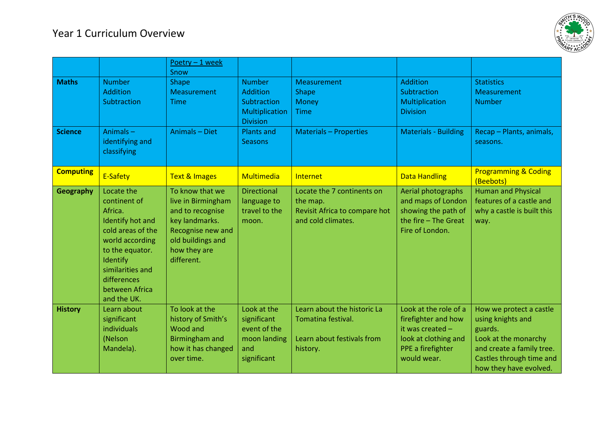

|                  |                                                                                                                                                                                                      | Poetry - 1 week<br>Snow                                                                                                                             |                                                                                      |                                                                                               |                                                                                                                                |                                                                                                                                                                    |
|------------------|------------------------------------------------------------------------------------------------------------------------------------------------------------------------------------------------------|-----------------------------------------------------------------------------------------------------------------------------------------------------|--------------------------------------------------------------------------------------|-----------------------------------------------------------------------------------------------|--------------------------------------------------------------------------------------------------------------------------------|--------------------------------------------------------------------------------------------------------------------------------------------------------------------|
| <b>Maths</b>     | <b>Number</b><br><b>Addition</b><br>Subtraction                                                                                                                                                      | <b>Shape</b><br><b>Measurement</b><br><b>Time</b>                                                                                                   | <b>Number</b><br><b>Addition</b><br>Subtraction<br>Multiplication<br><b>Division</b> | <b>Measurement</b><br><b>Shape</b><br><b>Money</b><br><b>Time</b>                             | <b>Addition</b><br>Subtraction<br>Multiplication<br><b>Division</b>                                                            | <b>Statistics</b><br>Measurement<br><b>Number</b>                                                                                                                  |
| <b>Science</b>   | Animals-<br>identifying and<br>classifying                                                                                                                                                           | Animals - Diet                                                                                                                                      | <b>Plants and</b><br><b>Seasons</b>                                                  | <b>Materials - Properties</b>                                                                 | <b>Materials - Building</b>                                                                                                    | Recap - Plants, animals,<br>seasons.                                                                                                                               |
| <b>Computing</b> | E-Safety                                                                                                                                                                                             | <b>Text &amp; Images</b>                                                                                                                            | Multimedia                                                                           | Internet                                                                                      | <b>Data Handling</b>                                                                                                           | <b>Programming &amp; Coding</b><br>(Beebots)                                                                                                                       |
| Geography        | Locate the<br>continent of<br>Africa.<br>Identify hot and<br>cold areas of the<br>world according<br>to the equator.<br>Identify<br>similarities and<br>differences<br>between Africa<br>and the UK. | To know that we<br>live in Birmingham<br>and to recognise<br>key landmarks.<br>Recognise new and<br>old buildings and<br>how they are<br>different. | <b>Directional</b><br>language to<br>travel to the<br>moon.                          | Locate the 7 continents on<br>the map.<br>Revisit Africa to compare hot<br>and cold climates. | Aerial photographs<br>and maps of London<br>showing the path of<br>the fire - The Great<br>Fire of London.                     | <b>Human and Physical</b><br>features of a castle and<br>why a castle is built this<br>way.                                                                        |
| <b>History</b>   | Learn about<br>significant<br>individuals<br>(Nelson<br>Mandela).                                                                                                                                    | To look at the<br>history of Smith's<br>Wood and<br>Birmingham and<br>how it has changed<br>over time.                                              | Look at the<br>significant<br>event of the<br>moon landing<br>and<br>significant     | Learn about the historic La<br>Tomatina festival.<br>Learn about festivals from<br>history.   | Look at the role of a<br>firefighter and how<br>it was created $-$<br>look at clothing and<br>PPE a firefighter<br>would wear. | How we protect a castle<br>using knights and<br>guards.<br>Look at the monarchy<br>and create a family tree.<br>Castles through time and<br>how they have evolved. |